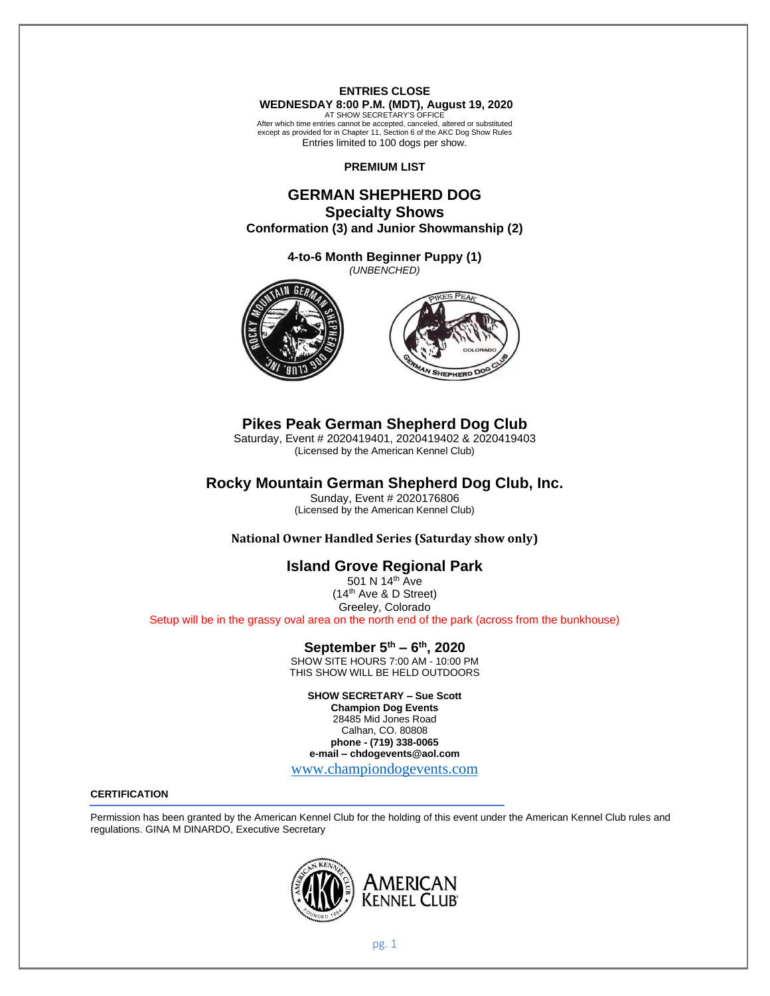**ENTRIES CLOSE WEDNESDAY 8:00 P.M. (MDT), August 19, 2020**

AT SHOW SECRETARY'S OFFICE After which time entries cannot be accepted, canceled, altered or substituted except as provided for in Chapter 11, Section 6 of the AKC Dog Show Rules Entries limited to 100 dogs per show.

**PREMIUM LIST**

# **GERMAN SHEPHERD DOG Specialty Shows**

**Conformation (3) and Junior Showmanship (2)**

**4-to-6 Month Beginner Puppy (1)** *(UNBENCHED)*





# **Pikes Peak German Shepherd Dog Club**

Saturday, Event # 2020419401, 2020419402 & 2020419403 (Licensed by the American Kennel Club)

# **Rocky Mountain German Shepherd Dog Club, Inc.**

Sunday, Event # 2020176806 (Licensed by the American Kennel Club)

**National Owner Handled Series (Saturday show only)**

# **Island Grove Regional Park**

501 N 14<sup>th</sup> Ave (14th Ave & D Street) Greeley, Colorado Setup will be in the grassy oval area on the north end of the park (across from the bunkhouse)

# **September 5 th – 6 th , 2020**

SHOW SITE HOURS 7:00 AM - 10:00 PM THIS SHOW WILL BE HELD OUTDOORS

**SHOW SECRETARY – Sue Scott**

**Champion Dog Events** 28485 Mid Jones Road Calhan, CO. 80808 **phone - (719) 338-0065 e-mail – chdogevents@aol.com**

[www.championdogevents.com](http://www.championdogevents.com/)

## **CERTIFICATION**

Permission has been granted by the American Kennel Club for the holding of this event under the American Kennel Club rules and regulations. GINA M DINARDO, Executive Secretary

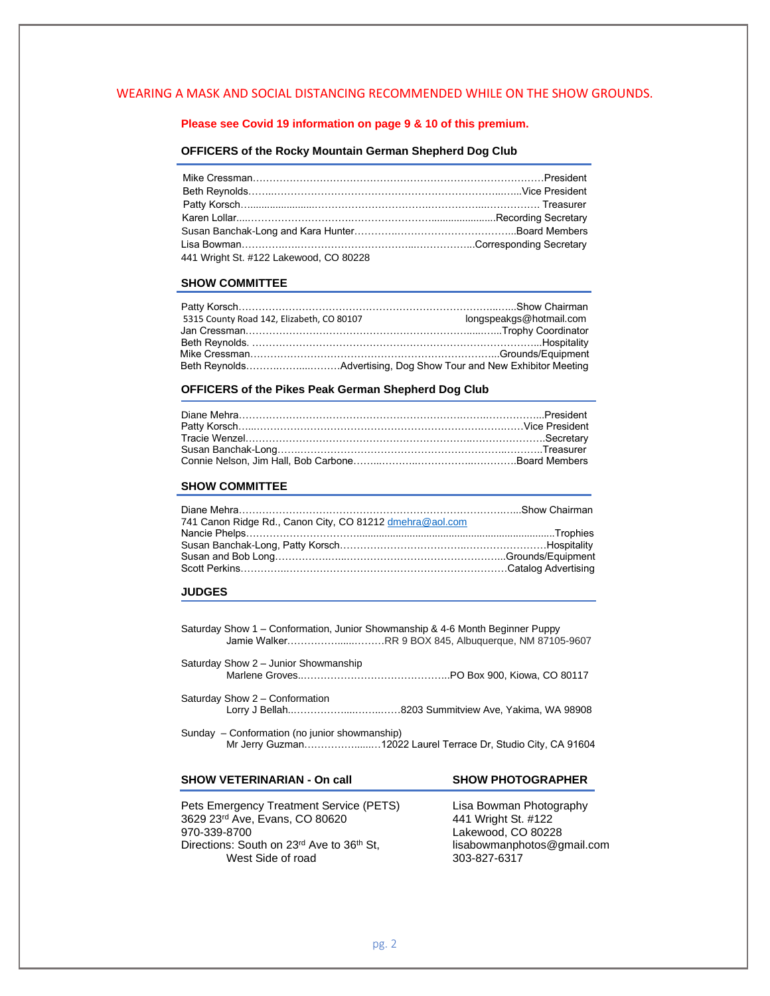## WEARING A MASK AND SOCIAL DISTANCING RECOMMENDED WHILE ON THE SHOW GROUNDS.

## **Please see Covid 19 information on page 9 & 10 of this premium.**

#### **OFFICERS of the Rocky Mountain German Shepherd Dog Club**

| 441 Wright St. #122 Lakewood, CO 80228 |  |
|----------------------------------------|--|

### **SHOW COMMITTEE**

| 5315 County Road 142, Elizabeth, CO 80107 | longspeakgs@hotmail.com |
|-------------------------------------------|-------------------------|
|                                           |                         |
|                                           |                         |
|                                           |                         |
|                                           |                         |

#### **OFFICERS of the Pikes Peak German Shepherd Dog Club**

#### **SHOW COMMITTEE**

| 741 Canon Ridge Rd., Canon City, CO 81212 dmehra@aol.com |  |
|----------------------------------------------------------|--|
|                                                          |  |
|                                                          |  |
|                                                          |  |
|                                                          |  |

#### **JUDGES**

Saturday Show 1 – Conformation, Junior Showmanship & 4-6 Month Beginner Puppy Jamie Walker……………......………RR 9 BOX 845, Albuquerque, NM 87105-9607

Saturday Show 2 – Junior Showmanship Marlene Groves..……………………………………..PO Box 900, Kiowa, CO 80117

Saturday Show 2 – Conformation Lorry J Bellah..……………....……..……8203 Summitview Ave, Yakima, WA 98908

Sunday – Conformation (no junior showmanship) Mr Jerry Guzman……………......…12022 Laurel Terrace Dr, Studio City, CA 91604

## **SHOW VETERINARIAN - On call SHOW PHOTOGRAPHER**

Pets Emergency Treatment Service (PETS) Lisa Bowman Photography 3629 23rd Ave, Evans, CO 80620 441 Wright St. #122 970-339-8700<br>Directions: South on 23<sup>rd</sup> Ave to 36<sup>th</sup> St, example lisabowmanphotos@gmail.com Directions: South on 23<sup>rd</sup> Ave to 36<sup>th</sup> St, lisabowmanphotos: South on 23<sup>rd</sup> Ave to 36<sup>th</sup> St, lisabowmanphotos West Side of road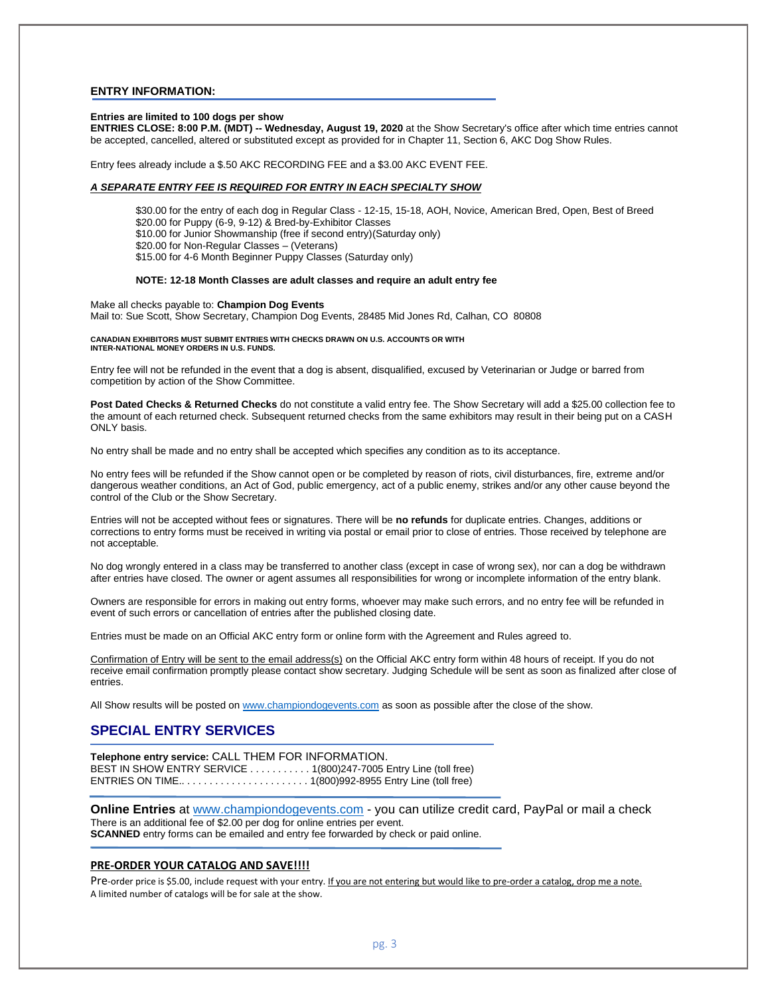#### **ENTRY INFORMATION:**

#### **Entries are limited to 100 dogs per show**

**ENTRIES CLOSE: 8:00 P.M. (MDT) -- Wednesday, August 19, 2020** at the Show Secretary's office after which time entries cannot be accepted, cancelled, altered or substituted except as provided for in Chapter 11, Section 6, AKC Dog Show Rules.

Entry fees already include a \$.50 AKC RECORDING FEE and a \$3.00 AKC EVENT FEE.

### *A SEPARATE ENTRY FEE IS REQUIRED FOR ENTRY IN EACH SPECIALTY SHOW*

\$30.00 for the entry of each dog in Regular Class - 12-15, 15-18, AOH, Novice, American Bred, Open, Best of Breed \$20.00 for Puppy (6-9, 9-12) & Bred-by-Exhibitor Classes \$10.00 for Junior Showmanship (free if second entry)(Saturday only) \$20.00 for Non-Regular Classes – (Veterans) \$15.00 for 4-6 Month Beginner Puppy Classes (Saturday only)

#### **NOTE: 12-18 Month Classes are adult classes and require an adult entry fee**

Make all checks payable to: **Champion Dog Events** Mail to: Sue Scott, Show Secretary, Champion Dog Events, 28485 Mid Jones Rd, Calhan, CO 80808

#### **CANADIAN EXHIBITORS MUST SUBMIT ENTRIES WITH CHECKS DRAWN ON U.S. ACCOUNTS OR WITH INTER-NATIONAL MONEY ORDERS IN U.S. FUNDS.**

Entry fee will not be refunded in the event that a dog is absent, disqualified, excused by Veterinarian or Judge or barred from competition by action of the Show Committee.

**Post Dated Checks & Returned Checks** do not constitute a valid entry fee. The Show Secretary will add a \$25.00 collection fee to the amount of each returned check. Subsequent returned checks from the same exhibitors may result in their being put on a CASH ONLY basis.

No entry shall be made and no entry shall be accepted which specifies any condition as to its acceptance.

No entry fees will be refunded if the Show cannot open or be completed by reason of riots, civil disturbances, fire, extreme and/or dangerous weather conditions, an Act of God, public emergency, act of a public enemy, strikes and/or any other cause beyond the control of the Club or the Show Secretary.

Entries will not be accepted without fees or signatures. There will be **no refunds** for duplicate entries. Changes, additions or corrections to entry forms must be received in writing via postal or email prior to close of entries. Those received by telephone are not acceptable.

No dog wrongly entered in a class may be transferred to another class (except in case of wrong sex), nor can a dog be withdrawn after entries have closed. The owner or agent assumes all responsibilities for wrong or incomplete information of the entry blank.

Owners are responsible for errors in making out entry forms, whoever may make such errors, and no entry fee will be refunded in event of such errors or cancellation of entries after the published closing date.

Entries must be made on an Official AKC entry form or online form with the Agreement and Rules agreed to.

Confirmation of Entry will be sent to the email address(s) on the Official AKC entry form within 48 hours of receipt. If you do not receive email confirmation promptly please contact show secretary. Judging Schedule will be sent as soon as finalized after close of entries.

All Show results will be posted on [www.championdogevents.com](http://www.championdogevents.com/) as soon as possible after the close of the show.

# **SPECIAL ENTRY SERVICES**

**Telephone entry service:** CALL THEM FOR INFORMATION. BEST IN SHOW ENTRY SERVICE . . . . . . . . . . 1(800)247-7005 Entry Line (toll free) ENTRIES ON TIME.. . . . . . . . . . . . . . . . . . . . . . . 1(800)992-8955 Entry Line (toll free)

**Online Entries** at [www.championdogevents.com](http://www.championdogevents.com/) - you can utilize credit card, PayPal or mail a check There is an additional fee of \$2.00 per dog for online entries per event. **SCANNED** entry forms can be emailed and entry fee forwarded by check or paid online.

#### **PRE-ORDER YOUR CATALOG AND SAVE!!!!**

Pre-order price is \$5.00, include request with your entry. If you are not entering but would like to pre-order a catalog, drop me a note. A limited number of catalogs will be for sale at the show.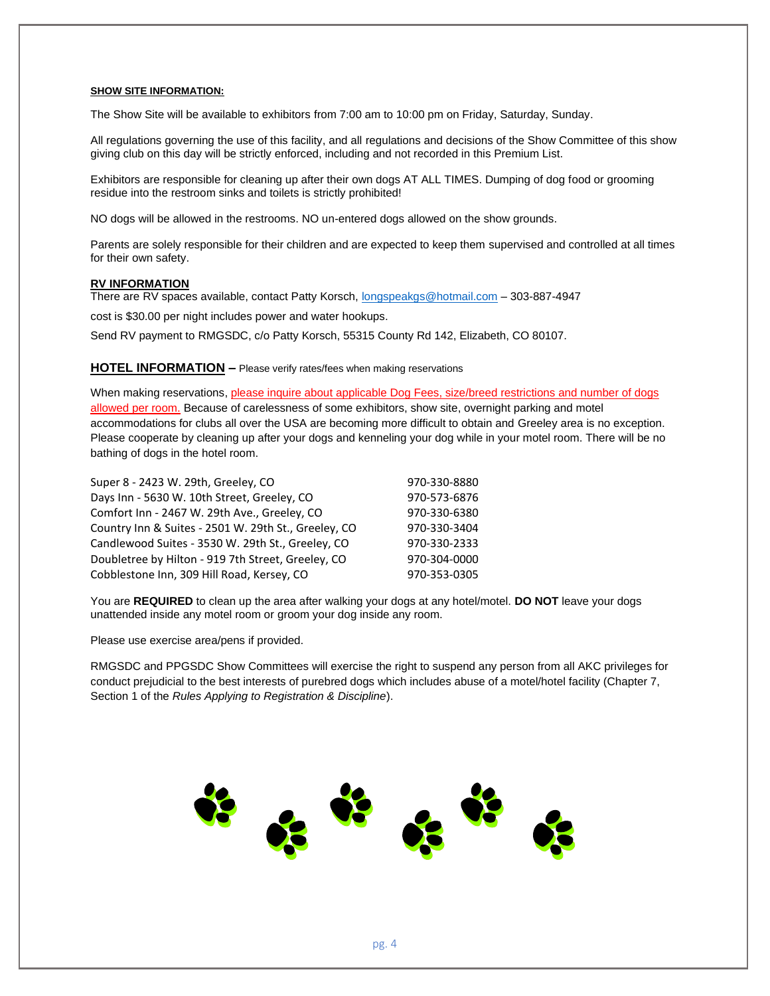#### **SHOW SITE INFORMATION:**

The Show Site will be available to exhibitors from 7:00 am to 10:00 pm on Friday, Saturday, Sunday.

All regulations governing the use of this facility, and all regulations and decisions of the Show Committee of this show giving club on this day will be strictly enforced, including and not recorded in this Premium List.

Exhibitors are responsible for cleaning up after their own dogs AT ALL TIMES. Dumping of dog food or grooming residue into the restroom sinks and toilets is strictly prohibited!

NO dogs will be allowed in the restrooms. NO un-entered dogs allowed on the show grounds.

Parents are solely responsible for their children and are expected to keep them supervised and controlled at all times for their own safety.

#### **RV INFORMATION**

There are RV spaces available, contact Patty Korsch[, longspeakgs@hotmail.com](mailto:longspeakgs@hotmail.com) – 303-887-4947

cost is \$30.00 per night includes power and water hookups.

Send RV payment to RMGSDC, c/o Patty Korsch, 55315 County Rd 142, Elizabeth, CO 80107.

### **HOTEL INFORMATION –** Please verify rates/fees when making reservations

When making reservations, please inquire about applicable Dog Fees, size/breed restrictions and number of dogs allowed per room. Because of carelessness of some exhibitors, show site, overnight parking and motel accommodations for clubs all over the USA are becoming more difficult to obtain and Greeley area is no exception. Please cooperate by cleaning up after your dogs and kenneling your dog while in your motel room. There will be no bathing of dogs in the hotel room.

| Super 8 - 2423 W. 29th, Greeley, CO                  | 970-330-8880 |
|------------------------------------------------------|--------------|
| Days Inn - 5630 W. 10th Street, Greeley, CO          | 970-573-6876 |
| Comfort Inn - 2467 W. 29th Ave., Greeley, CO         | 970-330-6380 |
| Country Inn & Suites - 2501 W. 29th St., Greeley, CO | 970-330-3404 |
| Candlewood Suites - 3530 W. 29th St., Greeley, CO    | 970-330-2333 |
| Doubletree by Hilton - 919 7th Street, Greeley, CO   | 970-304-0000 |
| Cobblestone Inn, 309 Hill Road, Kersey, CO           | 970-353-0305 |

You are **REQUIRED** to clean up the area after walking your dogs at any hotel/motel. **DO NOT** leave your dogs unattended inside any motel room or groom your dog inside any room.

Please use exercise area/pens if provided.

RMGSDC and PPGSDC Show Committees will exercise the right to suspend any person from all AKC privileges for conduct prejudicial to the best interests of purebred dogs which includes abuse of a motel/hotel facility (Chapter 7, Section 1 of the *Rules Applying to Registration & Discipline*).

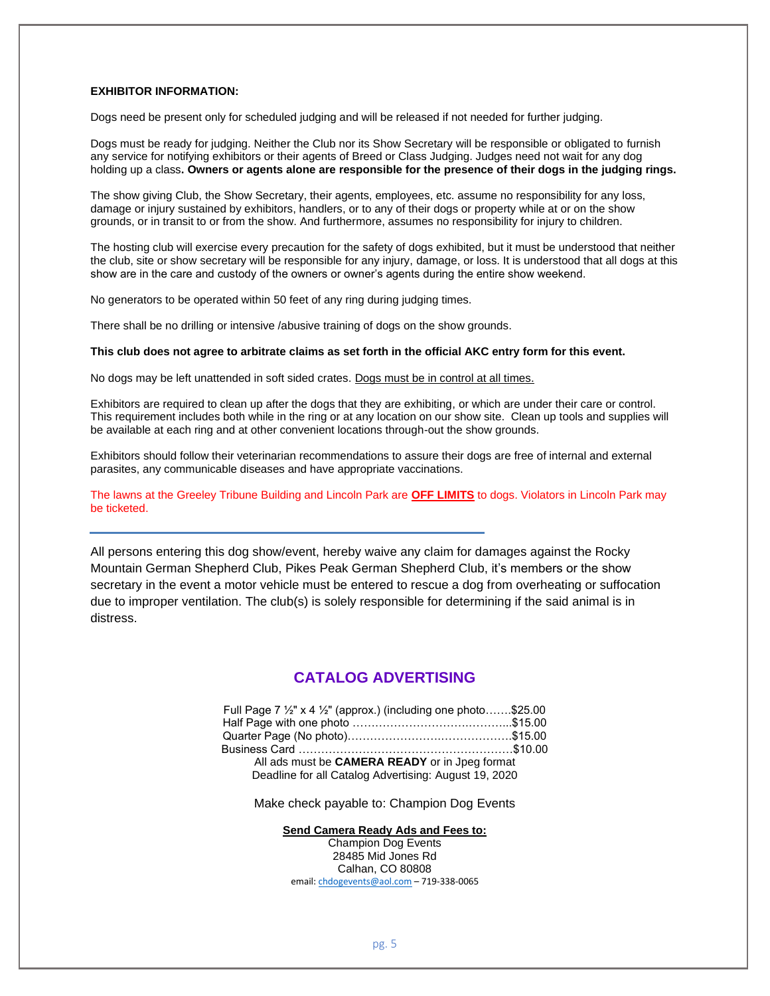## **EXHIBITOR INFORMATION:**

Dogs need be present only for scheduled judging and will be released if not needed for further judging.

Dogs must be ready for judging. Neither the Club nor its Show Secretary will be responsible or obligated to furnish any service for notifying exhibitors or their agents of Breed or Class Judging. Judges need not wait for any dog holding up a class**. Owners or agents alone are responsible for the presence of their dogs in the judging rings.**

The show giving Club, the Show Secretary, their agents, employees, etc. assume no responsibility for any loss, damage or injury sustained by exhibitors, handlers, or to any of their dogs or property while at or on the show grounds, or in transit to or from the show. And furthermore, assumes no responsibility for injury to children.

The hosting club will exercise every precaution for the safety of dogs exhibited, but it must be understood that neither the club, site or show secretary will be responsible for any injury, damage, or loss. It is understood that all dogs at this show are in the care and custody of the owners or owner's agents during the entire show weekend.

No generators to be operated within 50 feet of any ring during judging times.

There shall be no drilling or intensive /abusive training of dogs on the show grounds.

#### **This club does not agree to arbitrate claims as set forth in the official AKC entry form for this event.**

No dogs may be left unattended in soft sided crates. Dogs must be in control at all times.

Exhibitors are required to clean up after the dogs that they are exhibiting, or which are under their care or control. This requirement includes both while in the ring or at any location on our show site. Clean up tools and supplies will be available at each ring and at other convenient locations through-out the show grounds.

Exhibitors should follow their veterinarian recommendations to assure their dogs are free of internal and external parasites, any communicable diseases and have appropriate vaccinations.

The lawns at the Greeley Tribune Building and Lincoln Park are **OFF LIMITS** to dogs. Violators in Lincoln Park may be ticketed.

All persons entering this dog show/event, hereby waive any claim for damages against the Rocky Mountain German Shepherd Club, Pikes Peak German Shepherd Club, it's members or the show secretary in the event a motor vehicle must be entered to rescue a dog from overheating or suffocation due to improper ventilation. The club(s) is solely responsible for determining if the said animal is in distress.

# **CATALOG ADVERTISING**

| Full Page 7 $\frac{1}{2}$ " x 4 $\frac{1}{2}$ " (approx.) (including one photo\$25.00 |  |
|---------------------------------------------------------------------------------------|--|
|                                                                                       |  |
|                                                                                       |  |
|                                                                                       |  |
| All ads must be CAMERA READY or in Jpeg format                                        |  |
| Deadline for all Catalog Advertising: August 19, 2020                                 |  |

Make check payable to: Champion Dog Events

**Send Camera Ready Ads and Fees to:**

Champion Dog Events 28485 Mid Jones Rd Calhan, CO 80808 email[: chdogevents@aol.com](mailto:chdogevents@aol.com) – 719-338-0065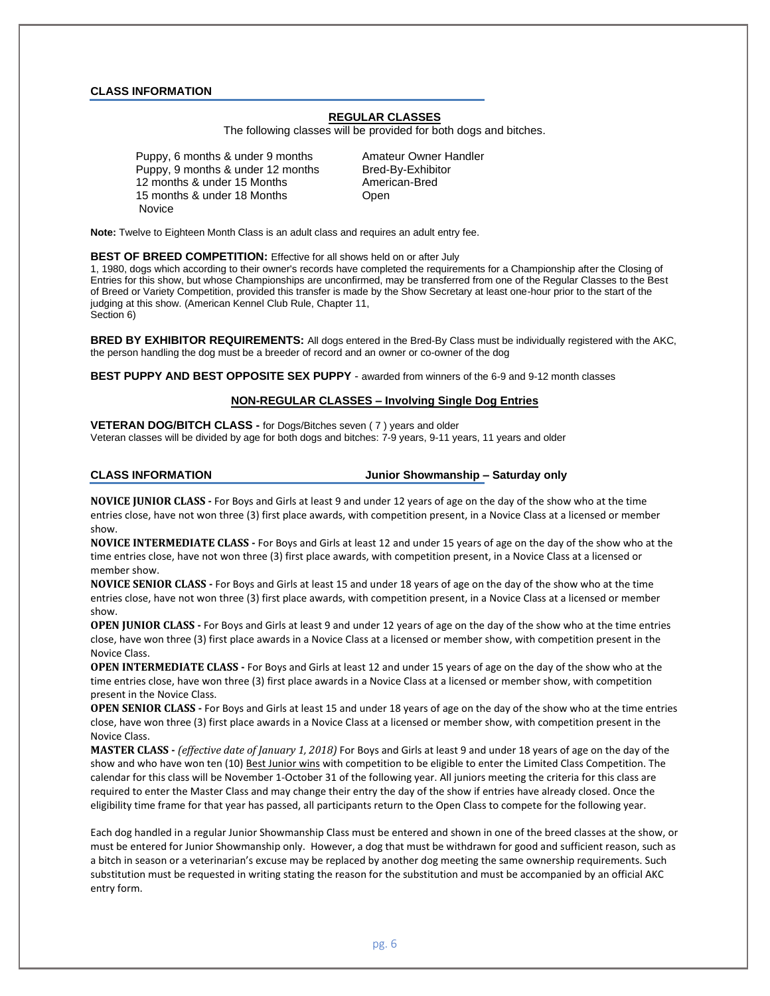#### **CLASS INFORMATION**

# **REGULAR CLASSES**

The following classes will be provided for both dogs and bitches.

Puppy, 6 months & under 9 months Amateur Owner Handler Puppy, 9 months & under 12 months Bred-By-Exhibitor 12 months & under 15 Months American-Bred 15 months & under 18 Months **Changing Community** Open **Novice** 

**Note:** Twelve to Eighteen Month Class is an adult class and requires an adult entry fee.

#### **BEST OF BREED COMPETITION:** Effective for all shows held on or after July

1, 1980, dogs which according to their owner's records have completed the requirements for a Championship after the Closing of Entries for this show, but whose Championships are unconfirmed, may be transferred from one of the Regular Classes to the Best of Breed or Variety Competition, provided this transfer is made by the Show Secretary at least one-hour prior to the start of the judging at this show. (American Kennel Club Rule, Chapter 11, Section 6)

**BRED BY EXHIBITOR REQUIREMENTS:** All dogs entered in the Bred-By Class must be individually registered with the AKC, the person handling the dog must be a breeder of record and an owner or co-owner of the dog

**BEST PUPPY AND BEST OPPOSITE SEX PUPPY** - awarded from winners of the 6-9 and 9-12 month classes

### **NON-REGULAR CLASSES – Involving Single Dog Entries**

**VETERAN DOG/BITCH CLASS -** for Dogs/Bitches seven ( 7 ) years and older Veteran classes will be divided by age for both dogs and bitches: 7-9 years, 9-11 years, 11 years and older

**CLASS INFORMATION Junior Showmanship – Saturday only**

**NOVICE JUNIOR CLASS -** For Boys and Girls at least 9 and under 12 years of age on the day of the show who at the time entries close, have not won three (3) first place awards, with competition present, in a Novice Class at a licensed or member show.

**NOVICE INTERMEDIATE CLASS -** For Boys and Girls at least 12 and under 15 years of age on the day of the show who at the time entries close, have not won three (3) first place awards, with competition present, in a Novice Class at a licensed or member show.

**NOVICE SENIOR CLASS -** For Boys and Girls at least 15 and under 18 years of age on the day of the show who at the time entries close, have not won three (3) first place awards, with competition present, in a Novice Class at a licensed or member show.

**OPEN JUNIOR CLASS -** For Boys and Girls at least 9 and under 12 years of age on the day of the show who at the time entries close, have won three (3) first place awards in a Novice Class at a licensed or member show, with competition present in the Novice Class.

**OPEN INTERMEDIATE CLASS -** For Boys and Girls at least 12 and under 15 years of age on the day of the show who at the time entries close, have won three (3) first place awards in a Novice Class at a licensed or member show, with competition present in the Novice Class.

**OPEN SENIOR CLASS -** For Boys and Girls at least 15 and under 18 years of age on the day of the show who at the time entries close, have won three (3) first place awards in a Novice Class at a licensed or member show, with competition present in the Novice Class.

**MASTER CLASS -** *(effective date of January 1, 2018)* For Boys and Girls at least 9 and under 18 years of age on the day of the show and who have won ten (10) Best Junior wins with competition to be eligible to enter the Limited Class Competition. The calendar for this class will be November 1-October 31 of the following year. All juniors meeting the criteria for this class are required to enter the Master Class and may change their entry the day of the show if entries have already closed. Once the eligibility time frame for that year has passed, all participants return to the Open Class to compete for the following year.

Each dog handled in a regular Junior Showmanship Class must be entered and shown in one of the breed classes at the show, or must be entered for Junior Showmanship only. However, a dog that must be withdrawn for good and sufficient reason, such as a bitch in season or a veterinarian's excuse may be replaced by another dog meeting the same ownership requirements. Such substitution must be requested in writing stating the reason for the substitution and must be accompanied by an official AKC entry form.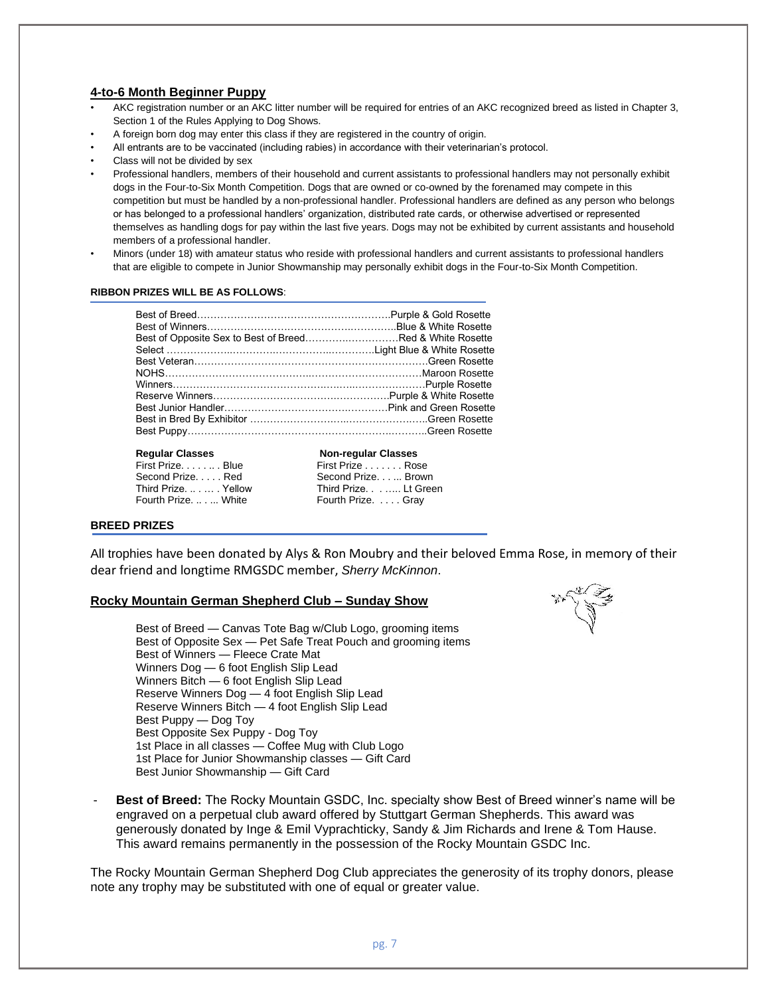# **4-to-6 Month Beginner Puppy**

- AKC registration number or an AKC litter number will be required for entries of an AKC recognized breed as listed in Chapter 3, Section 1 of the Rules Applying to Dog Shows.
- A foreign born dog may enter this class if they are registered in the country of origin.
- All entrants are to be vaccinated (including rabies) in accordance with their veterinarian's protocol.
- Class will not be divided by sex
- Professional handlers, members of their household and current assistants to professional handlers may not personally exhibit dogs in the Four-to-Six Month Competition. Dogs that are owned or co-owned by the forenamed may compete in this competition but must be handled by a non-professional handler. Professional handlers are defined as any person who belongs or has belonged to a professional handlers' organization, distributed rate cards, or otherwise advertised or represented themselves as handling dogs for pay within the last five years. Dogs may not be exhibited by current assistants and household members of a professional handler.
- Minors (under 18) with amateur status who reside with professional handlers and current assistants to professional handlers that are eligible to compete in Junior Showmanship may personally exhibit dogs in the Four-to-Six Month Competition.

### **RIBBON PRIZES WILL BE AS FOLLOWS**:

| Best of Opposite Sex to Best of BreedRed & White Rosette |  |
|----------------------------------------------------------|--|
|                                                          |  |
|                                                          |  |
|                                                          |  |
|                                                          |  |
|                                                          |  |
|                                                          |  |
|                                                          |  |
|                                                          |  |
|                                                          |  |

## **Regular Classes Non-regular Classes**

| First PrizeBlue    | First Prize Rose   |  |
|--------------------|--------------------|--|
| Second Prize Red   | Second Prize. Brow |  |
| Third PrizeYellow  | Third Prize Lt Gr  |  |
| Fourth Prize White | Fourth Prize. Gray |  |
|                    |                    |  |

#### **BREED PRIZES**

All trophies have been donated by Alys & Ron Moubry and their beloved Emma Rose, in memory of their dear friend and longtime RMGSDC member, *Sherry McKinnon*.

First Prize . . . . . . . Rose Second Prize. . . ... Brown Third Prize. . . . . .... Lt Green

## **Rocky Mountain German Shepherd Club – Sunday Show**

Best of Breed — Canvas Tote Bag w/Club Logo, grooming items Best of Opposite Sex — Pet Safe Treat Pouch and grooming items Best of Winners — Fleece Crate Mat Winners Dog — 6 foot English Slip Lead Winners Bitch — 6 foot English Slip Lead Reserve Winners Dog — 4 foot English Slip Lead Reserve Winners Bitch — 4 foot English Slip Lead Best Puppy — Dog Toy Best Opposite Sex Puppy - Dog Toy 1st Place in all classes — Coffee Mug with Club Logo 1st Place for Junior Showmanship classes — Gift Card Best Junior Showmanship — Gift Card



- **Best of Breed:** The Rocky Mountain GSDC, Inc. specialty show Best of Breed winner's name will be engraved on a perpetual club award offered by Stuttgart German Shepherds. This award was generously donated by Inge & Emil Vyprachticky, Sandy & Jim Richards and Irene & Tom Hause. This award remains permanently in the possession of the Rocky Mountain GSDC Inc.

The Rocky Mountain German Shepherd Dog Club appreciates the generosity of its trophy donors, please note any trophy may be substituted with one of equal or greater value.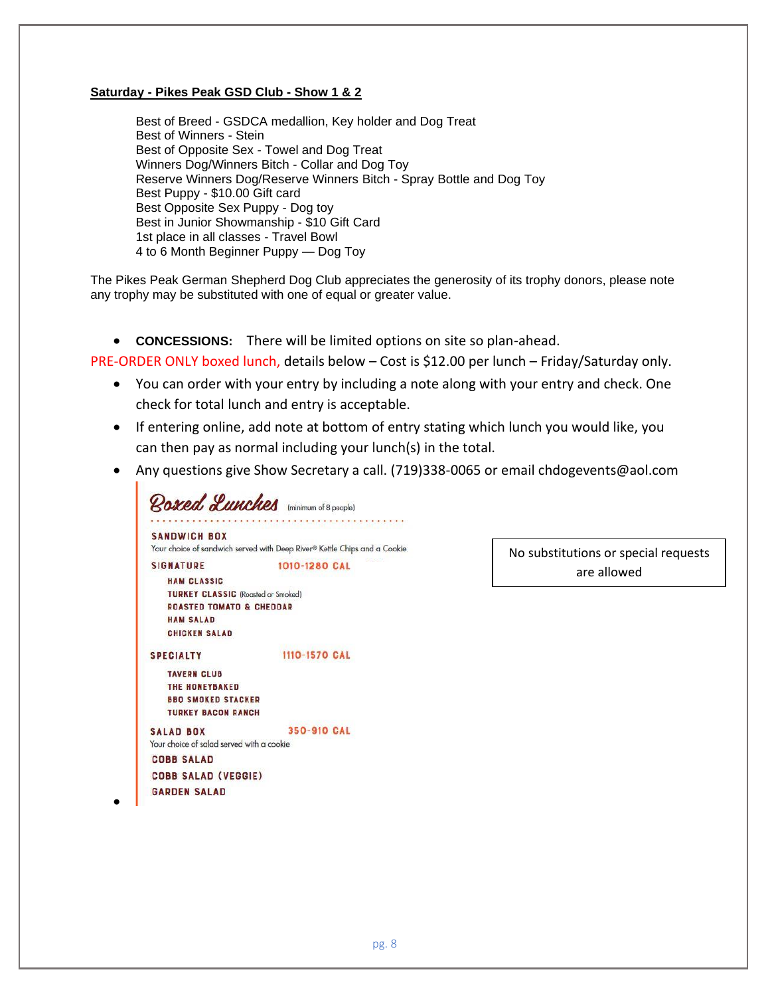# **Saturday - Pikes Peak GSD Club - Show 1 & 2**

Best of Breed - GSDCA medallion, Key holder and Dog Treat Best of Winners - Stein Best of Opposite Sex - Towel and Dog Treat Winners Dog/Winners Bitch - Collar and Dog Toy Reserve Winners Dog/Reserve Winners Bitch - Spray Bottle and Dog Toy Best Puppy - \$10.00 Gift card Best Opposite Sex Puppy - Dog toy Best in Junior Showmanship - \$10 Gift Card 1st place in all classes - Travel Bowl 4 to 6 Month Beginner Puppy — Dog Toy

The Pikes Peak German Shepherd Dog Club appreciates the generosity of its trophy donors, please note any trophy may be substituted with one of equal or greater value.

• **CONCESSIONS:** There will be limited options on site so plan-ahead.

PRE-ORDER ONLY boxed lunch, details below – Cost is \$12.00 per lunch – Friday/Saturday only.

- You can order with your entry by including a note along with your entry and check. One check for total lunch and entry is acceptable.
- If entering online, add note at bottom of entry stating which lunch you would like, you can then pay as normal including your lunch(s) in the total.
- Any questions give Show Secretary a call. (719)338-0065 or email chdogevents@aol.com

Roxed Lunches (minimum of 8 people) **SANDWICH BOX** Your choice of sandwich served with Deep River® Kettle Chips and a Cookie **SIGNATURE** 1010-1280 CAL HAM CLASSIC TURKEY CLASSIC (Roasted or Smoked) **ROASTED TOMATO & CHEDDAR HAM SALAD** CHICKEN SALAD **SPECIALTY** 1110-1570 CAL **TAVERN CLUB** THE HONEYBAKED **BBO SMOKED STACKER TURKEY BACON RANCH** 350-910 CAL **SALAD BOX** Your choice of salad served with a cookie **COBB SALAD COBB SALAD (VEGGIE) GARDEN SALAD** 

•

No substitutions or special requests are allowed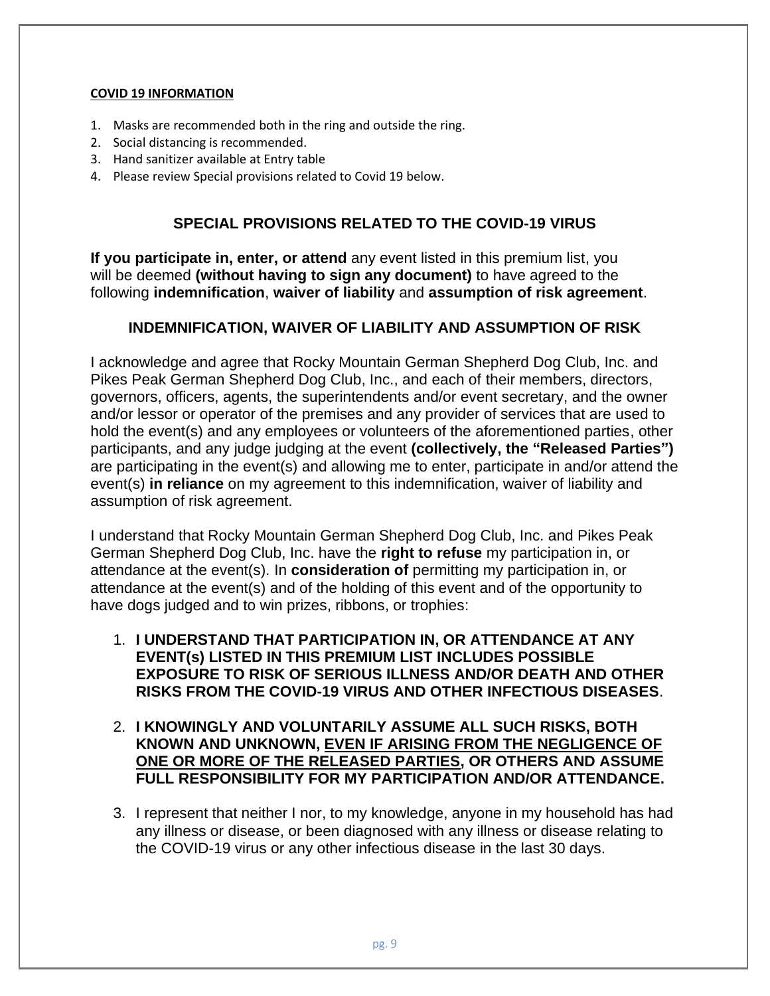# **COVID 19 INFORMATION**

- 1. Masks are recommended both in the ring and outside the ring.
- 2. Social distancing is recommended.
- 3. Hand sanitizer available at Entry table
- 4. Please review Special provisions related to Covid 19 below.

# **SPECIAL PROVISIONS RELATED TO THE COVID-19 VIRUS**

**If you participate in, enter, or attend** any event listed in this premium list, you will be deemed **(without having to sign any document)** to have agreed to the following **indemnification**, **waiver of liability** and **assumption of risk agreement**.

# **INDEMNIFICATION, WAIVER OF LIABILITY AND ASSUMPTION OF RISK**

I acknowledge and agree that Rocky Mountain German Shepherd Dog Club, Inc. and Pikes Peak German Shepherd Dog Club, Inc., and each of their members, directors, governors, officers, agents, the superintendents and/or event secretary, and the owner and/or lessor or operator of the premises and any provider of services that are used to hold the event(s) and any employees or volunteers of the aforementioned parties, other participants, and any judge judging at the event **(collectively, the "Released Parties")** are participating in the event(s) and allowing me to enter, participate in and/or attend the event(s) **in reliance** on my agreement to this indemnification, waiver of liability and assumption of risk agreement.

I understand that Rocky Mountain German Shepherd Dog Club, Inc. and Pikes Peak German Shepherd Dog Club, Inc. have the **right to refuse** my participation in, or attendance at the event(s). In **consideration of** permitting my participation in, or attendance at the event(s) and of the holding of this event and of the opportunity to have dogs judged and to win prizes, ribbons, or trophies:

- 1. **I UNDERSTAND THAT PARTICIPATION IN, OR ATTENDANCE AT ANY EVENT(s) LISTED IN THIS PREMIUM LIST INCLUDES POSSIBLE EXPOSURE TO RISK OF SERIOUS ILLNESS AND/OR DEATH AND OTHER RISKS FROM THE COVID-19 VIRUS AND OTHER INFECTIOUS DISEASES**.
- 2. **I KNOWINGLY AND VOLUNTARILY ASSUME ALL SUCH RISKS, BOTH KNOWN AND UNKNOWN, EVEN IF ARISING FROM THE NEGLIGENCE OF ONE OR MORE OF THE RELEASED PARTIES, OR OTHERS AND ASSUME FULL RESPONSIBILITY FOR MY PARTICIPATION AND/OR ATTENDANCE.**
- 3. I represent that neither I nor, to my knowledge, anyone in my household has had any illness or disease, or been diagnosed with any illness or disease relating to the COVID-19 virus or any other infectious disease in the last 30 days.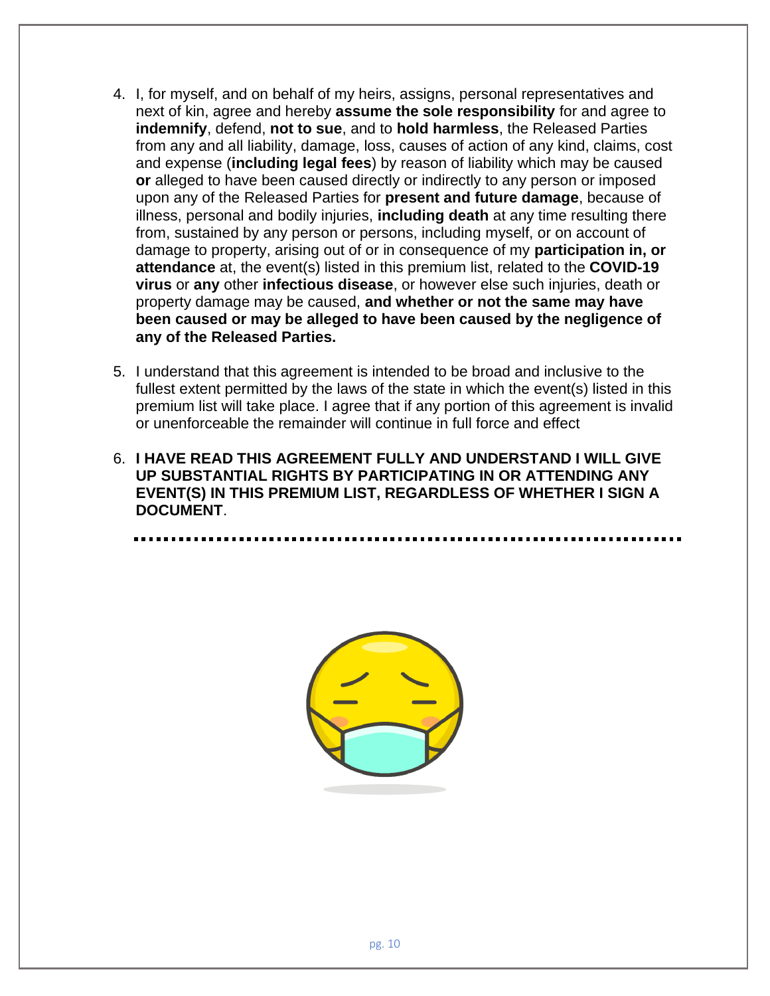- 4. I, for myself, and on behalf of my heirs, assigns, personal representatives and next of kin, agree and hereby **assume the sole responsibility** for and agree to **indemnify**, defend, **not to sue**, and to **hold harmless**, the Released Parties from any and all liability, damage, loss, causes of action of any kind, claims, cost and expense (**including legal fees**) by reason of liability which may be caused **or** alleged to have been caused directly or indirectly to any person or imposed upon any of the Released Parties for **present and future damage**, because of illness, personal and bodily injuries, **including death** at any time resulting there from, sustained by any person or persons, including myself, or on account of damage to property, arising out of or in consequence of my **participation in, or attendance** at, the event(s) listed in this premium list, related to the **COVID-19 virus** or **any** other **infectious disease**, or however else such injuries, death or property damage may be caused, **and whether or not the same may have been caused or may be alleged to have been caused by the negligence of any of the Released Parties.**
- 5. I understand that this agreement is intended to be broad and inclusive to the fullest extent permitted by the laws of the state in which the event(s) listed in this premium list will take place. I agree that if any portion of this agreement is invalid or unenforceable the remainder will continue in full force and effect
- 6. **I HAVE READ THIS AGREEMENT FULLY AND UNDERSTAND I WILL GIVE UP SUBSTANTIAL RIGHTS BY PARTICIPATING IN OR ATTENDING ANY EVENT(S) IN THIS PREMIUM LIST, REGARDLESS OF WHETHER I SIGN A DOCUMENT**.